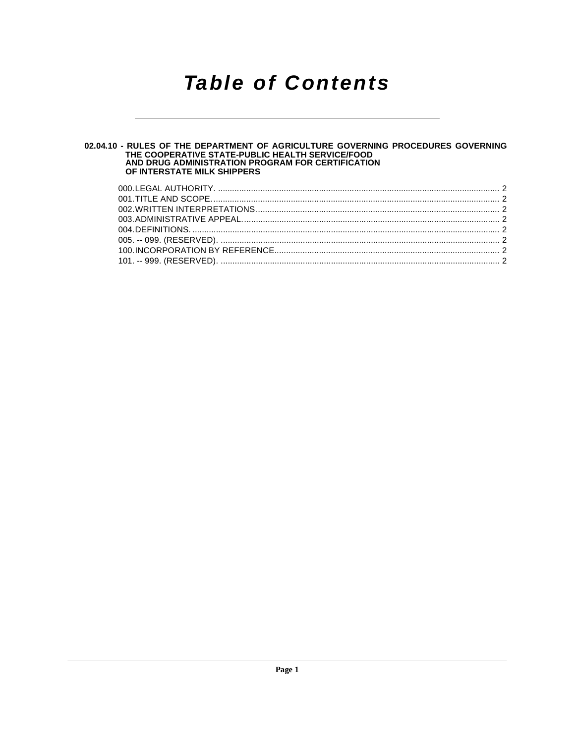# **Table of Contents**

# 02.04.10 - RULES OF THE DEPARTMENT OF AGRICULTURE GOVERNING PROCEDURES GOVERNING<br>THE COOPERATIVE STATE-PUBLIC HEALTH SERVICE/FOOD<br>AND DRUG ADMINISTRATION PROGRAM FOR CERTIFICATION OF INTERSTATE MILK SHIPPERS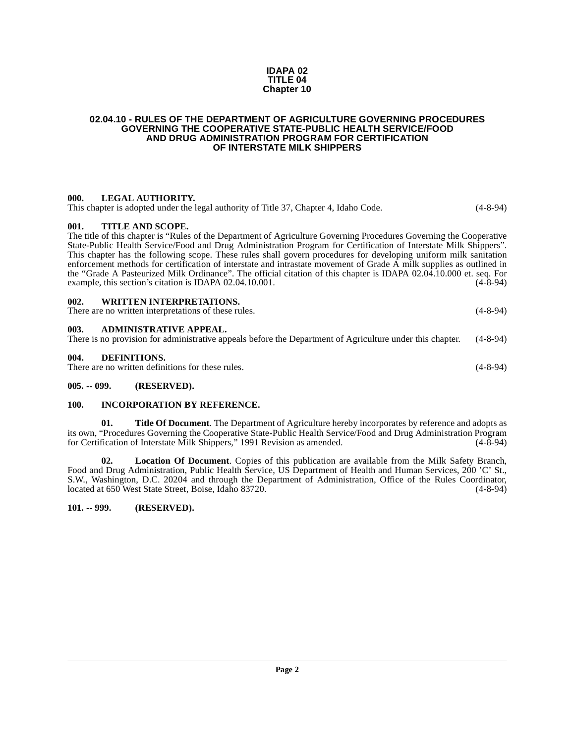### **IDAPA 02 TITLE 04 Chapter 10**

#### <span id="page-1-0"></span>**02.04.10 - RULES OF THE DEPARTMENT OF AGRICULTURE GOVERNING PROCEDURES GOVERNING THE COOPERATIVE STATE-PUBLIC HEALTH SERVICE/FOOD AND DRUG ADMINISTRATION PROGRAM FOR CERTIFICATION OF INTERSTATE MILK SHIPPERS**

# <span id="page-1-2"></span><span id="page-1-1"></span>**000. LEGAL AUTHORITY.**  This chapter is adopted under the legal authority of Title 37, Chapter 4, Idaho Code. (4-8-94) **001. TITLE AND SCOPE.**  The title of this chapter is "Rules of the Department of Agriculture Governing Procedures Governing the Cooperative State-Public Health Service/Food and Drug Administration Program for Certification of Interstate Milk Shippers". This chapter has the following scope. These rules shall govern procedures for developing uniform milk sanitation enforcement methods for certification of interstate and intrastate movement of Grade A milk supplies as outlined in the "Grade A Pasteurized Milk Ordinance". The official citation of this chapter is IDAPA 02.04.10.000 et. seq. For<br>example, this section's citation is IDAPA 02.04.10.001. example, this section's citation is IDAPA 02.04.10.001. **002. WRITTEN INTERPRETATIONS.** There are no written interpretations of these rules. (4-8-94) **003. ADMINISTRATIVE APPEAL.** There is no provision for administrative appeals before the Department of Agriculture under this chapter. (4-8-94) **004. DEFINITIONS.**  There are no written definitions for these rules. (4-8-94)

# <span id="page-1-9"></span><span id="page-1-6"></span><span id="page-1-5"></span><span id="page-1-4"></span><span id="page-1-3"></span>**005. -- 099. (RESERVED).**

# <span id="page-1-10"></span><span id="page-1-7"></span>**100. INCORPORATION BY REFERENCE.**

<span id="page-1-12"></span>**01. Title Of Document**. The Department of Agriculture hereby incorporates by reference and adopts as its own, "Procedures Governing the Cooperative State-Public Health Service/Food and Drug Administration Program for Certification of Interstate Milk Shippers," 1991 Revision as amended.

<span id="page-1-11"></span>**02. Location Of Document**. Copies of this publication are available from the Milk Safety Branch, Food and Drug Administration, Public Health Service, US Department of Health and Human Services, 200 'C' St., S.W., Washington, D.C. 20204 and through the Department of Administration, Office of the Rules Coordinator, located at 650 West State Street, Boise, Idaho 83720. (4-8-94) located at 650 West State Street, Boise, Idaho 83720.

# <span id="page-1-8"></span>**101. -- 999. (RESERVED).**